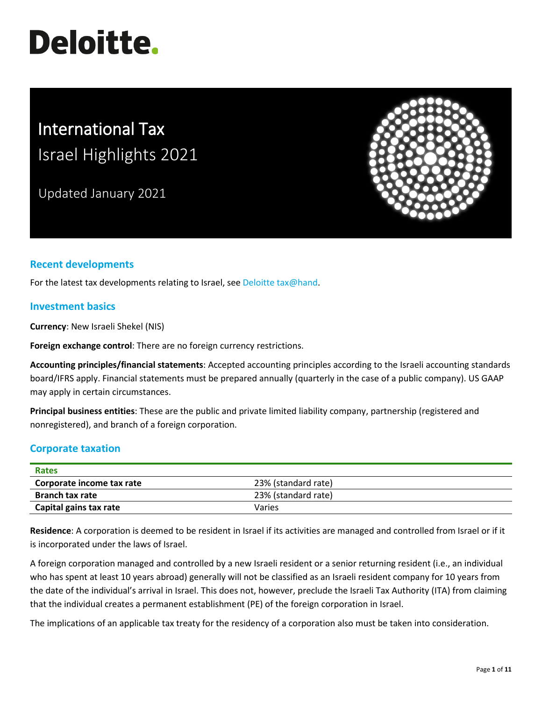# **Deloitte.**

# International Tax Israel Highlights 2021

Updated January 2021



# **Recent developments**

For the latest tax developments relating to Israel, see [Deloitte tax@hand.](https://www.taxathand.com/world-news/Israel)

#### **Investment basics**

**Currency**: New Israeli Shekel (NIS)

**Foreign exchange control**: There are no foreign currency restrictions.

**Accounting principles/financial statements**: Accepted accounting principles according to the Israeli accounting standards board/IFRS apply. Financial statements must be prepared annually (quarterly in the case of a public company). US GAAP may apply in certain circumstances.

**Principal business entities**: These are the public and private limited liability company, partnership (registered and nonregistered), and branch of a foreign corporation.

#### **Corporate taxation**

| <b>Rates</b>              |                     |
|---------------------------|---------------------|
| Corporate income tax rate | 23% (standard rate) |
| <b>Branch tax rate</b>    | 23% (standard rate) |
| Capital gains tax rate    | Varies              |

**Residence**: A corporation is deemed to be resident in Israel if its activities are managed and controlled from Israel or if it is incorporated under the laws of Israel.

A foreign corporation managed and controlled by a new Israeli resident or a senior returning resident (i.e., an individual who has spent at least 10 years abroad) generally will not be classified as an Israeli resident company for 10 years from the date of the individual's arrival in Israel. This does not, however, preclude the Israeli Tax Authority (ITA) from claiming that the individual creates a permanent establishment (PE) of the foreign corporation in Israel.

The implications of an applicable tax treaty for the residency of a corporation also must be taken into consideration.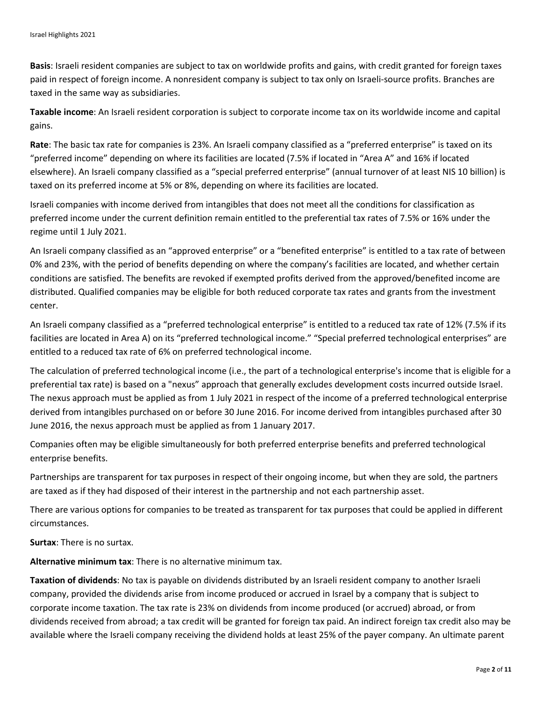**Basis**: Israeli resident companies are subject to tax on worldwide profits and gains, with credit granted for foreign taxes paid in respect of foreign income. A nonresident company is subject to tax only on Israeli-source profits. Branches are taxed in the same way as subsidiaries.

**Taxable income**: An Israeli resident corporation is subject to corporate income tax on its worldwide income and capital gains.

**Rate**: The basic tax rate for companies is 23%. An Israeli company classified as a "preferred enterprise" is taxed on its "preferred income" depending on where its facilities are located (7.5% if located in "Area A" and 16% if located elsewhere). An Israeli company classified as a "special preferred enterprise" (annual turnover of at least NIS 10 billion) is taxed on its preferred income at 5% or 8%, depending on where its facilities are located.

Israeli companies with income derived from intangibles that does not meet all the conditions for classification as preferred income under the current definition remain entitled to the preferential tax rates of 7.5% or 16% under the regime until 1 July 2021.

An Israeli company classified as an "approved enterprise" or a "benefited enterprise" is entitled to a tax rate of between 0% and 23%, with the period of benefits depending on where the company's facilities are located, and whether certain conditions are satisfied. The benefits are revoked if exempted profits derived from the approved/benefited income are distributed. Qualified companies may be eligible for both reduced corporate tax rates and grants from the investment center.

An Israeli company classified as a "preferred technological enterprise" is entitled to a reduced tax rate of 12% (7.5% if its facilities are located in Area A) on its "preferred technological income." "Special preferred technological enterprises" are entitled to a reduced tax rate of 6% on preferred technological income.

The calculation of preferred technological income (i.e., the part of a technological enterprise's income that is eligible for a preferential tax rate) is based on a "nexus" approach that generally excludes development costs incurred outside Israel. The nexus approach must be applied as from 1 July 2021 in respect of the income of a preferred technological enterprise derived from intangibles purchased on or before 30 June 2016. For income derived from intangibles purchased after 30 June 2016, the nexus approach must be applied as from 1 January 2017.

Companies often may be eligible simultaneously for both preferred enterprise benefits and preferred technological enterprise benefits.

Partnerships are transparent for tax purposes in respect of their ongoing income, but when they are sold, the partners are taxed as if they had disposed of their interest in the partnership and not each partnership asset.

There are various options for companies to be treated as transparent for tax purposes that could be applied in different circumstances.

**Surtax**: There is no surtax.

**Alternative minimum tax**: There is no alternative minimum tax.

**Taxation of dividends**: No tax is payable on dividends distributed by an Israeli resident company to another Israeli company, provided the dividends arise from income produced or accrued in Israel by a company that is subject to corporate income taxation. The tax rate is 23% on dividends from income produced (or accrued) abroad, or from dividends received from abroad; a tax credit will be granted for foreign tax paid. An indirect foreign tax credit also may be available where the Israeli company receiving the dividend holds at least 25% of the payer company. An ultimate parent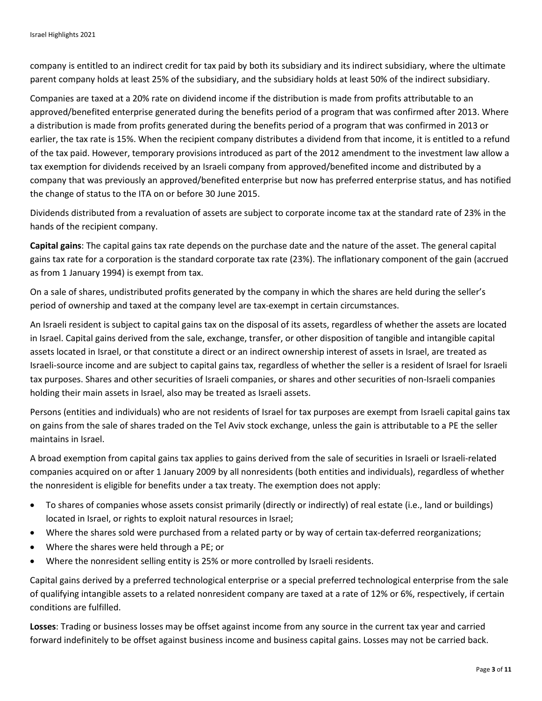company is entitled to an indirect credit for tax paid by both its subsidiary and its indirect subsidiary, where the ultimate parent company holds at least 25% of the subsidiary, and the subsidiary holds at least 50% of the indirect subsidiary.

Companies are taxed at a 20% rate on dividend income if the distribution is made from profits attributable to an approved/benefited enterprise generated during the benefits period of a program that was confirmed after 2013. Where a distribution is made from profits generated during the benefits period of a program that was confirmed in 2013 or earlier, the tax rate is 15%. When the recipient company distributes a dividend from that income, it is entitled to a refund of the tax paid. However, temporary provisions introduced as part of the 2012 amendment to the investment law allow a tax exemption for dividends received by an Israeli company from approved/benefited income and distributed by a company that was previously an approved/benefited enterprise but now has preferred enterprise status, and has notified the change of status to the ITA on or before 30 June 2015.

Dividends distributed from a revaluation of assets are subject to corporate income tax at the standard rate of 23% in the hands of the recipient company.

**Capital gains**: The capital gains tax rate depends on the purchase date and the nature of the asset. The general capital gains tax rate for a corporation is the standard corporate tax rate (23%). The inflationary component of the gain (accrued as from 1 January 1994) is exempt from tax.

On a sale of shares, undistributed profits generated by the company in which the shares are held during the seller's period of ownership and taxed at the company level are tax-exempt in certain circumstances.

An Israeli resident is subject to capital gains tax on the disposal of its assets, regardless of whether the assets are located in Israel. Capital gains derived from the sale, exchange, transfer, or other disposition of tangible and intangible capital assets located in Israel, or that constitute a direct or an indirect ownership interest of assets in Israel, are treated as Israeli-source income and are subject to capital gains tax, regardless of whether the seller is a resident of Israel for Israeli tax purposes. Shares and other securities of Israeli companies, or shares and other securities of non-Israeli companies holding their main assets in Israel, also may be treated as Israeli assets.

Persons (entities and individuals) who are not residents of Israel for tax purposes are exempt from Israeli capital gains tax on gains from the sale of shares traded on the Tel Aviv stock exchange, unless the gain is attributable to a PE the seller maintains in Israel.

A broad exemption from capital gains tax applies to gains derived from the sale of securities in Israeli or Israeli-related companies acquired on or after 1 January 2009 by all nonresidents (both entities and individuals), regardless of whether the nonresident is eligible for benefits under a tax treaty. The exemption does not apply:

- To shares of companies whose assets consist primarily (directly or indirectly) of real estate (i.e., land or buildings) located in Israel, or rights to exploit natural resources in Israel;
- Where the shares sold were purchased from a related party or by way of certain tax-deferred reorganizations;
- Where the shares were held through a PE; or
- Where the nonresident selling entity is 25% or more controlled by Israeli residents.

Capital gains derived by a preferred technological enterprise or a special preferred technological enterprise from the sale of qualifying intangible assets to a related nonresident company are taxed at a rate of 12% or 6%, respectively, if certain conditions are fulfilled.

**Losses**: Trading or business losses may be offset against income from any source in the current tax year and carried forward indefinitely to be offset against business income and business capital gains. Losses may not be carried back.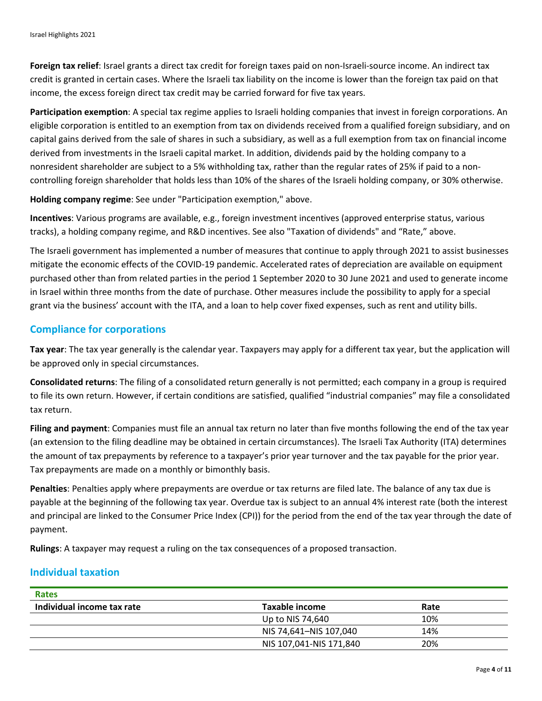**Foreign tax relief**: Israel grants a direct tax credit for foreign taxes paid on non-Israeli-source income. An indirect tax credit is granted in certain cases. Where the Israeli tax liability on the income is lower than the foreign tax paid on that income, the excess foreign direct tax credit may be carried forward for five tax years.

**Participation exemption**: A special tax regime applies to Israeli holding companies that invest in foreign corporations. An eligible corporation is entitled to an exemption from tax on dividends received from a qualified foreign subsidiary, and on capital gains derived from the sale of shares in such a subsidiary, as well as a full exemption from tax on financial income derived from investments in the Israeli capital market. In addition, dividends paid by the holding company to a nonresident shareholder are subject to a 5% withholding tax, rather than the regular rates of 25% if paid to a noncontrolling foreign shareholder that holds less than 10% of the shares of the Israeli holding company, or 30% otherwise.

**Holding company regime**: See under "Participation exemption," above.

**Incentives**: Various programs are available, e.g., foreign investment incentives (approved enterprise status, various tracks), a holding company regime, and R&D incentives. See also "Taxation of dividends" and "Rate," above.

The Israeli government has implemented a number of measures that continue to apply through 2021 to assist businesses mitigate the economic effects of the COVID-19 pandemic. Accelerated rates of depreciation are available on equipment purchased other than from related parties in the period 1 September 2020 to 30 June 2021 and used to generate income in Israel within three months from the date of purchase. Other measures include the possibility to apply for a special grant via the business' account with the ITA, and a loan to help cover fixed expenses, such as rent and utility bills.

#### **Compliance for corporations**

**Tax year**: The tax year generally is the calendar year. Taxpayers may apply for a different tax year, but the application will be approved only in special circumstances.

**Consolidated returns**: The filing of a consolidated return generally is not permitted; each company in a group is required to file its own return. However, if certain conditions are satisfied, qualified "industrial companies" may file a consolidated tax return.

**Filing and payment**: Companies must file an annual tax return no later than five months following the end of the tax year (an extension to the filing deadline may be obtained in certain circumstances). The Israeli Tax Authority (ITA) determines the amount of tax prepayments by reference to a taxpayer's prior year turnover and the tax payable for the prior year. Tax prepayments are made on a monthly or bimonthly basis.

**Penalties**: Penalties apply where prepayments are overdue or tax returns are filed late. The balance of any tax due is payable at the beginning of the following tax year. Overdue tax is subject to an annual 4% interest rate (both the interest and principal are linked to the Consumer Price Index (CPI)) for the period from the end of the tax year through the date of payment.

**Rulings**: A taxpayer may request a ruling on the tax consequences of a proposed transaction.

#### **Individual taxation**

| <b>Rates</b>               |                         |      |  |
|----------------------------|-------------------------|------|--|
| Individual income tax rate | Taxable income          | Rate |  |
|                            | Up to NIS 74,640        | 10%  |  |
|                            | NIS 74,641-NIS 107,040  | 14%  |  |
|                            | NIS 107,041-NIS 171,840 | 20%  |  |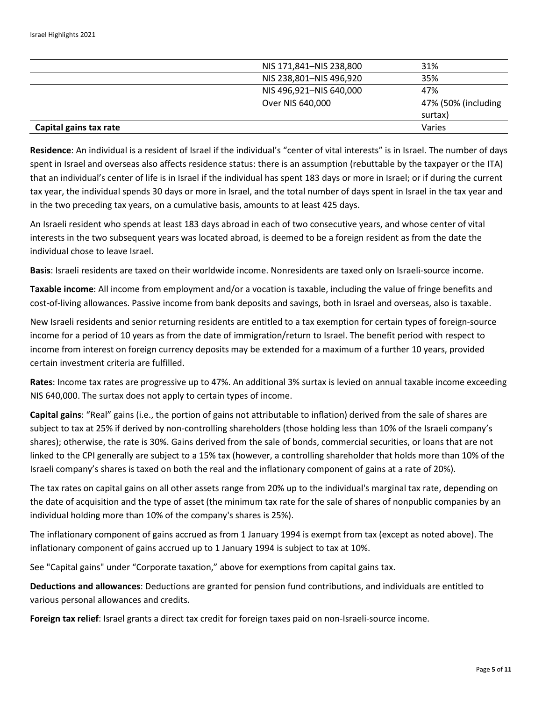|                        | NIS 171,841-NIS 238,800 | 31%                 |
|------------------------|-------------------------|---------------------|
|                        | NIS 238,801-NIS 496,920 | 35%                 |
|                        | NIS 496,921-NIS 640,000 | 47%                 |
|                        | Over NIS 640,000        | 47% (50% (including |
|                        |                         | surtax)             |
| Capital gains tax rate |                         | Varies              |

**Residence**: An individual is a resident of Israel if the individual's "center of vital interests" is in Israel. The number of days spent in Israel and overseas also affects residence status: there is an assumption (rebuttable by the taxpayer or the ITA) that an individual's center of life is in Israel if the individual has spent 183 days or more in Israel; or if during the current tax year, the individual spends 30 days or more in Israel, and the total number of days spent in Israel in the tax year and in the two preceding tax years, on a cumulative basis, amounts to at least 425 days.

An Israeli resident who spends at least 183 days abroad in each of two consecutive years, and whose center of vital interests in the two subsequent years was located abroad, is deemed to be a foreign resident as from the date the individual chose to leave Israel.

**Basis**: Israeli residents are taxed on their worldwide income. Nonresidents are taxed only on Israeli-source income.

**Taxable income**: All income from employment and/or a vocation is taxable, including the value of fringe benefits and cost-of-living allowances. Passive income from bank deposits and savings, both in Israel and overseas, also is taxable.

New Israeli residents and senior returning residents are entitled to a tax exemption for certain types of foreign-source income for a period of 10 years as from the date of immigration/return to Israel. The benefit period with respect to income from interest on foreign currency deposits may be extended for a maximum of a further 10 years, provided certain investment criteria are fulfilled.

**Rates**: Income tax rates are progressive up to 47%. An additional 3% surtax is levied on annual taxable income exceeding NIS 640,000. The surtax does not apply to certain types of income.

**Capital gains**: "Real" gains (i.e., the portion of gains not attributable to inflation) derived from the sale of shares are subject to tax at 25% if derived by non-controlling shareholders (those holding less than 10% of the Israeli company's shares); otherwise, the rate is 30%. Gains derived from the sale of bonds, commercial securities, or loans that are not linked to the CPI generally are subject to a 15% tax (however, a controlling shareholder that holds more than 10% of the Israeli company's shares is taxed on both the real and the inflationary component of gains at a rate of 20%).

The tax rates on capital gains on all other assets range from 20% up to the individual's marginal tax rate, depending on the date of acquisition and the type of asset (the minimum tax rate for the sale of shares of nonpublic companies by an individual holding more than 10% of the company's shares is 25%).

The inflationary component of gains accrued as from 1 January 1994 is exempt from tax (except as noted above). The inflationary component of gains accrued up to 1 January 1994 is subject to tax at 10%.

See "Capital gains" under "Corporate taxation," above for exemptions from capital gains tax.

**Deductions and allowances**: Deductions are granted for pension fund contributions, and individuals are entitled to various personal allowances and credits.

**Foreign tax relief**: Israel grants a direct tax credit for foreign taxes paid on non-Israeli-source income.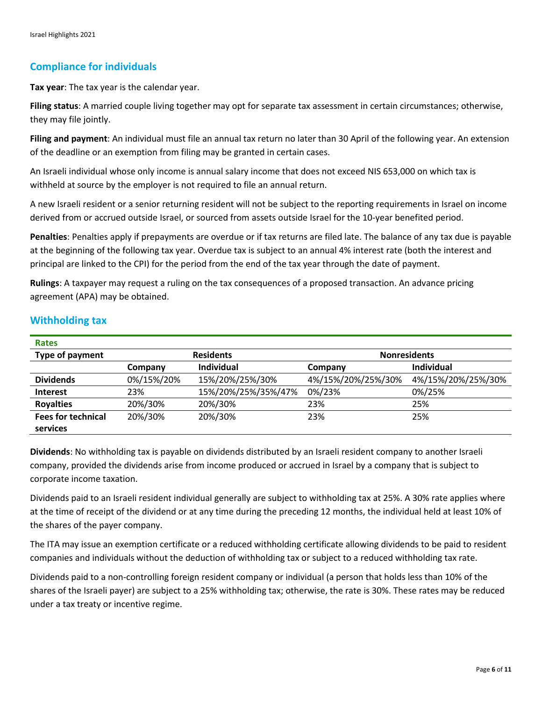## **Compliance for individuals**

**Tax year**: The tax year is the calendar year.

**Filing status**: A married couple living together may opt for separate tax assessment in certain circumstances; otherwise, they may file jointly.

**Filing and payment**: An individual must file an annual tax return no later than 30 April of the following year. An extension of the deadline or an exemption from filing may be granted in certain cases.

An Israeli individual whose only income is annual salary income that does not exceed NIS 653,000 on which tax is withheld at source by the employer is not required to file an annual return.

A new Israeli resident or a senior returning resident will not be subject to the reporting requirements in Israel on income derived from or accrued outside Israel, or sourced from assets outside Israel for the 10-year benefited period.

**Penalties**: Penalties apply if prepayments are overdue or if tax returns are filed late. The balance of any tax due is payable at the beginning of the following tax year. Overdue tax is subject to an annual 4% interest rate (both the interest and principal are linked to the CPI) for the period from the end of the tax year through the date of payment.

**Rulings**: A taxpayer may request a ruling on the tax consequences of a proposed transaction. An advance pricing agreement (APA) may be obtained.

| <b>Rates</b>              |                  |                     |                     |                    |
|---------------------------|------------------|---------------------|---------------------|--------------------|
| Type of payment           | <b>Residents</b> |                     | <b>Nonresidents</b> |                    |
|                           | Company          | <b>Individual</b>   | Company             | Individual         |
| <b>Dividends</b>          | 0%/15%/20%       | 15%/20%/25%/30%     | 4%/15%/20%/25%/30%  | 4%/15%/20%/25%/30% |
| <b>Interest</b>           | 23%              | 15%/20%/25%/35%/47% | 0%/23%              | 0%/25%             |
| <b>Royalties</b>          | 20%/30%          | 20%/30%             | 23%                 | 25%                |
| <b>Fees for technical</b> | 20%/30%          | 20%/30%             | 23%                 | 25%                |
| services                  |                  |                     |                     |                    |

### **Withholding tax**

**Dividends**: No withholding tax is payable on dividends distributed by an Israeli resident company to another Israeli company, provided the dividends arise from income produced or accrued in Israel by a company that is subject to corporate income taxation.

Dividends paid to an Israeli resident individual generally are subject to withholding tax at 25%. A 30% rate applies where at the time of receipt of the dividend or at any time during the preceding 12 months, the individual held at least 10% of the shares of the payer company.

The ITA may issue an exemption certificate or a reduced withholding certificate allowing dividends to be paid to resident companies and individuals without the deduction of withholding tax or subject to a reduced withholding tax rate.

Dividends paid to a non-controlling foreign resident company or individual (a person that holds less than 10% of the shares of the Israeli payer) are subject to a 25% withholding tax; otherwise, the rate is 30%. These rates may be reduced under a tax treaty or incentive regime.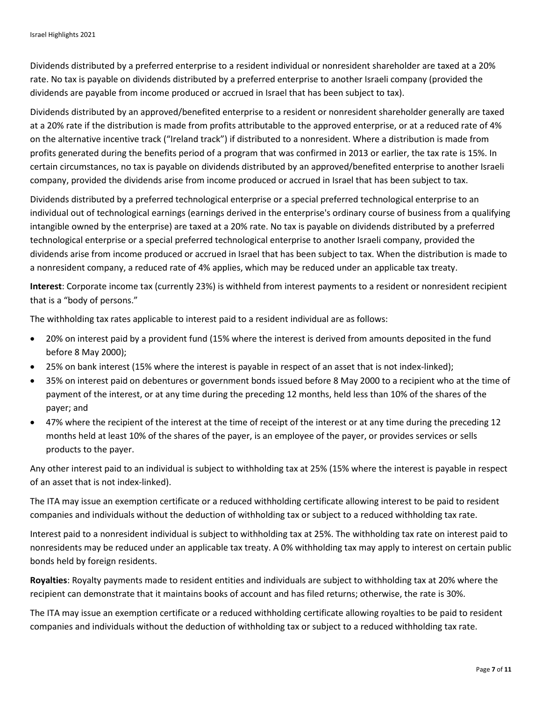Dividends distributed by a preferred enterprise to a resident individual or nonresident shareholder are taxed at a 20% rate. No tax is payable on dividends distributed by a preferred enterprise to another Israeli company (provided the dividends are payable from income produced or accrued in Israel that has been subject to tax).

Dividends distributed by an approved/benefited enterprise to a resident or nonresident shareholder generally are taxed at a 20% rate if the distribution is made from profits attributable to the approved enterprise, or at a reduced rate of 4% on the alternative incentive track ("Ireland track") if distributed to a nonresident. Where a distribution is made from profits generated during the benefits period of a program that was confirmed in 2013 or earlier, the tax rate is 15%. In certain circumstances, no tax is payable on dividends distributed by an approved/benefited enterprise to another Israeli company, provided the dividends arise from income produced or accrued in Israel that has been subject to tax.

Dividends distributed by a preferred technological enterprise or a special preferred technological enterprise to an individual out of technological earnings (earnings derived in the enterprise's ordinary course of business from a qualifying intangible owned by the enterprise) are taxed at a 20% rate. No tax is payable on dividends distributed by a preferred technological enterprise or a special preferred technological enterprise to another Israeli company, provided the dividends arise from income produced or accrued in Israel that has been subject to tax. When the distribution is made to a nonresident company, a reduced rate of 4% applies, which may be reduced under an applicable tax treaty.

**Interest**: Corporate income tax (currently 23%) is withheld from interest payments to a resident or nonresident recipient that is a "body of persons."

The withholding tax rates applicable to interest paid to a resident individual are as follows:

- 20% on interest paid by a provident fund (15% where the interest is derived from amounts deposited in the fund before 8 May 2000);
- 25% on bank interest (15% where the interest is payable in respect of an asset that is not index-linked);
- 35% on interest paid on debentures or government bonds issued before 8 May 2000 to a recipient who at the time of payment of the interest, or at any time during the preceding 12 months, held less than 10% of the shares of the payer; and
- 47% where the recipient of the interest at the time of receipt of the interest or at any time during the preceding 12 months held at least 10% of the shares of the payer, is an employee of the payer, or provides services or sells products to the payer.

Any other interest paid to an individual is subject to withholding tax at 25% (15% where the interest is payable in respect of an asset that is not index-linked).

The ITA may issue an exemption certificate or a reduced withholding certificate allowing interest to be paid to resident companies and individuals without the deduction of withholding tax or subject to a reduced withholding tax rate.

Interest paid to a nonresident individual is subject to withholding tax at 25%. The withholding tax rate on interest paid to nonresidents may be reduced under an applicable tax treaty. A 0% withholding tax may apply to interest on certain public bonds held by foreign residents.

**Royalties**: Royalty payments made to resident entities and individuals are subject to withholding tax at 20% where the recipient can demonstrate that it maintains books of account and has filed returns; otherwise, the rate is 30%.

The ITA may issue an exemption certificate or a reduced withholding certificate allowing royalties to be paid to resident companies and individuals without the deduction of withholding tax or subject to a reduced withholding tax rate.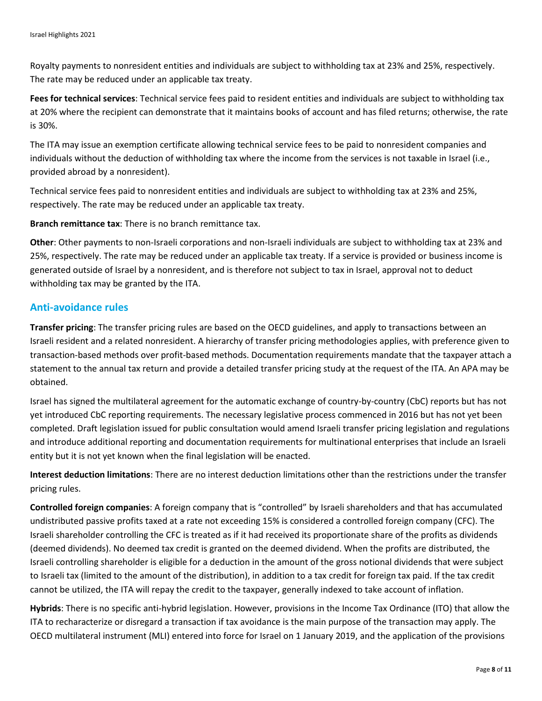Royalty payments to nonresident entities and individuals are subject to withholding tax at 23% and 25%, respectively. The rate may be reduced under an applicable tax treaty.

**Fees for technical services**: Technical service fees paid to resident entities and individuals are subject to withholding tax at 20% where the recipient can demonstrate that it maintains books of account and has filed returns; otherwise, the rate is 30%.

The ITA may issue an exemption certificate allowing technical service fees to be paid to nonresident companies and individuals without the deduction of withholding tax where the income from the services is not taxable in Israel (i.e., provided abroad by a nonresident).

Technical service fees paid to nonresident entities and individuals are subject to withholding tax at 23% and 25%, respectively. The rate may be reduced under an applicable tax treaty.

**Branch remittance tax**: There is no branch remittance tax.

**Other**: Other payments to non-Israeli corporations and non-Israeli individuals are subject to withholding tax at 23% and 25%, respectively. The rate may be reduced under an applicable tax treaty. If a service is provided or business income is generated outside of Israel by a nonresident, and is therefore not subject to tax in Israel, approval not to deduct withholding tax may be granted by the ITA.

#### **Anti-avoidance rules**

**Transfer pricing**: The transfer pricing rules are based on the OECD guidelines, and apply to transactions between an Israeli resident and a related nonresident. A hierarchy of transfer pricing methodologies applies, with preference given to transaction-based methods over profit-based methods. Documentation requirements mandate that the taxpayer attach a statement to the annual tax return and provide a detailed transfer pricing study at the request of the ITA. An APA may be obtained.

Israel has signed the multilateral agreement for the automatic exchange of country-by-country (CbC) reports but has not yet introduced CbC reporting requirements. The necessary legislative process commenced in 2016 but has not yet been completed. Draft legislation issued for public consultation would amend Israeli transfer pricing legislation and regulations and introduce additional reporting and documentation requirements for multinational enterprises that include an Israeli entity but it is not yet known when the final legislation will be enacted.

**Interest deduction limitations**: There are no interest deduction limitations other than the restrictions under the transfer pricing rules.

**Controlled foreign companies**: A foreign company that is "controlled" by Israeli shareholders and that has accumulated undistributed passive profits taxed at a rate not exceeding 15% is considered a controlled foreign company (CFC). The Israeli shareholder controlling the CFC is treated as if it had received its proportionate share of the profits as dividends (deemed dividends). No deemed tax credit is granted on the deemed dividend. When the profits are distributed, the Israeli controlling shareholder is eligible for a deduction in the amount of the gross notional dividends that were subject to Israeli tax (limited to the amount of the distribution), in addition to a tax credit for foreign tax paid. If the tax credit cannot be utilized, the ITA will repay the credit to the taxpayer, generally indexed to take account of inflation.

**Hybrids**: There is no specific anti-hybrid legislation. However, provisions in the Income Tax Ordinance (ITO) that allow the ITA to recharacterize or disregard a transaction if tax avoidance is the main purpose of the transaction may apply. The OECD multilateral instrument (MLI) entered into force for Israel on 1 January 2019, and the application of the provisions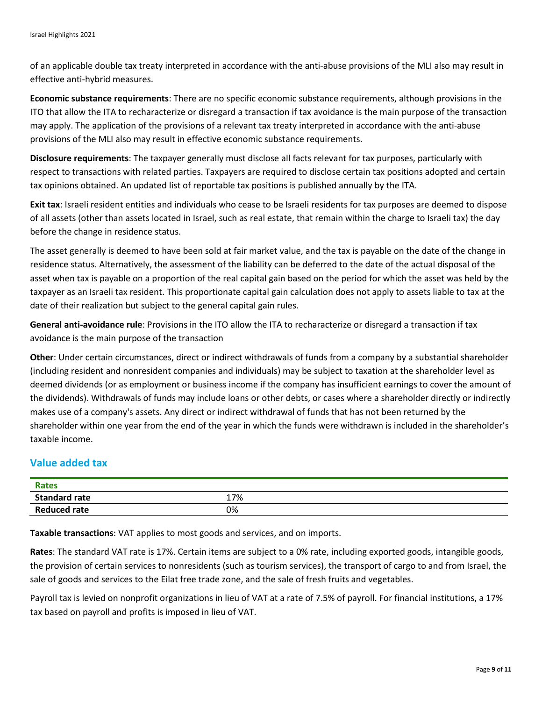of an applicable double tax treaty interpreted in accordance with the anti-abuse provisions of the MLI also may result in effective anti-hybrid measures.

**Economic substance requirements**: There are no specific economic substance requirements, although provisions in the ITO that allow the ITA to recharacterize or disregard a transaction if tax avoidance is the main purpose of the transaction may apply. The application of the provisions of a relevant tax treaty interpreted in accordance with the anti-abuse provisions of the MLI also may result in effective economic substance requirements.

**Disclosure requirements**: The taxpayer generally must disclose all facts relevant for tax purposes, particularly with respect to transactions with related parties. Taxpayers are required to disclose certain tax positions adopted and certain tax opinions obtained. An updated list of reportable tax positions is published annually by the ITA.

**Exit tax**: Israeli resident entities and individuals who cease to be Israeli residents for tax purposes are deemed to dispose of all assets (other than assets located in Israel, such as real estate, that remain within the charge to Israeli tax) the day before the change in residence status.

The asset generally is deemed to have been sold at fair market value, and the tax is payable on the date of the change in residence status. Alternatively, the assessment of the liability can be deferred to the date of the actual disposal of the asset when tax is payable on a proportion of the real capital gain based on the period for which the asset was held by the taxpayer as an Israeli tax resident. This proportionate capital gain calculation does not apply to assets liable to tax at the date of their realization but subject to the general capital gain rules.

**General anti-avoidance rule**: Provisions in the ITO allow the ITA to recharacterize or disregard a transaction if tax avoidance is the main purpose of the transaction

**Other**: Under certain circumstances, direct or indirect withdrawals of funds from a company by a substantial shareholder (including resident and nonresident companies and individuals) may be subject to taxation at the shareholder level as deemed dividends (or as employment or business income if the company has insufficient earnings to cover the amount of the dividends). Withdrawals of funds may include loans or other debts, or cases where a shareholder directly or indirectly makes use of a company's assets. Any direct or indirect withdrawal of funds that has not been returned by the shareholder within one year from the end of the year in which the funds were withdrawn is included in the shareholder's taxable income.

# **Value added tax**

| <b>Rates</b>         |     |
|----------------------|-----|
| <b>Standard rate</b> | 17% |
| <b>Reduced rate</b>  | 0%  |

**Taxable transactions**: VAT applies to most goods and services, and on imports.

**Rates**: The standard VAT rate is 17%. Certain items are subject to a 0% rate, including exported goods, intangible goods, the provision of certain services to nonresidents (such as tourism services), the transport of cargo to and from Israel, the sale of goods and services to the Eilat free trade zone, and the sale of fresh fruits and vegetables.

Payroll tax is levied on nonprofit organizations in lieu of VAT at a rate of 7.5% of payroll. For financial institutions, a 17% tax based on payroll and profits is imposed in lieu of VAT.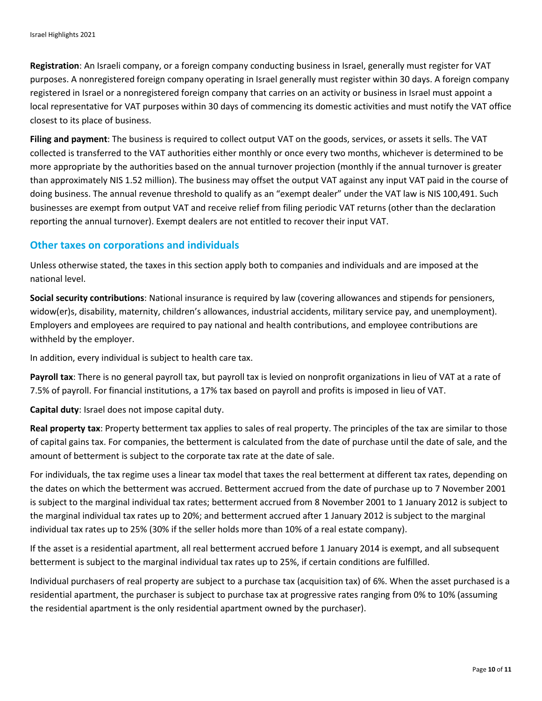**Registration**: An Israeli company, or a foreign company conducting business in Israel, generally must register for VAT purposes. A nonregistered foreign company operating in Israel generally must register within 30 days. A foreign company registered in Israel or a nonregistered foreign company that carries on an activity or business in Israel must appoint a local representative for VAT purposes within 30 days of commencing its domestic activities and must notify the VAT office closest to its place of business.

**Filing and payment**: The business is required to collect output VAT on the goods, services, or assets it sells. The VAT collected is transferred to the VAT authorities either monthly or once every two months, whichever is determined to be more appropriate by the authorities based on the annual turnover projection (monthly if the annual turnover is greater than approximately NIS 1.52 million). The business may offset the output VAT against any input VAT paid in the course of doing business. The annual revenue threshold to qualify as an "exempt dealer" under the VAT law is NIS 100,491. Such businesses are exempt from output VAT and receive relief from filing periodic VAT returns (other than the declaration reporting the annual turnover). Exempt dealers are not entitled to recover their input VAT.

#### **Other taxes on corporations and individuals**

Unless otherwise stated, the taxes in this section apply both to companies and individuals and are imposed at the national level.

**Social security contributions**: National insurance is required by law (covering allowances and stipends for pensioners, widow(er)s, disability, maternity, children's allowances, industrial accidents, military service pay, and unemployment). Employers and employees are required to pay national and health contributions, and employee contributions are withheld by the employer.

In addition, every individual is subject to health care tax.

**Payroll tax**: There is no general payroll tax, but payroll tax is levied on nonprofit organizations in lieu of VAT at a rate of 7.5% of payroll. For financial institutions, a 17% tax based on payroll and profits is imposed in lieu of VAT.

**Capital duty**: Israel does not impose capital duty.

**Real property tax**: Property betterment tax applies to sales of real property. The principles of the tax are similar to those of capital gains tax. For companies, the betterment is calculated from the date of purchase until the date of sale, and the amount of betterment is subject to the corporate tax rate at the date of sale.

For individuals, the tax regime uses a linear tax model that taxes the real betterment at different tax rates, depending on the dates on which the betterment was accrued. Betterment accrued from the date of purchase up to 7 November 2001 is subject to the marginal individual tax rates; betterment accrued from 8 November 2001 to 1 January 2012 is subject to the marginal individual tax rates up to 20%; and betterment accrued after 1 January 2012 is subject to the marginal individual tax rates up to 25% (30% if the seller holds more than 10% of a real estate company).

If the asset is a residential apartment, all real betterment accrued before 1 January 2014 is exempt, and all subsequent betterment is subject to the marginal individual tax rates up to 25%, if certain conditions are fulfilled.

Individual purchasers of real property are subject to a purchase tax (acquisition tax) of 6%. When the asset purchased is a residential apartment, the purchaser is subject to purchase tax at progressive rates ranging from 0% to 10% (assuming the residential apartment is the only residential apartment owned by the purchaser).